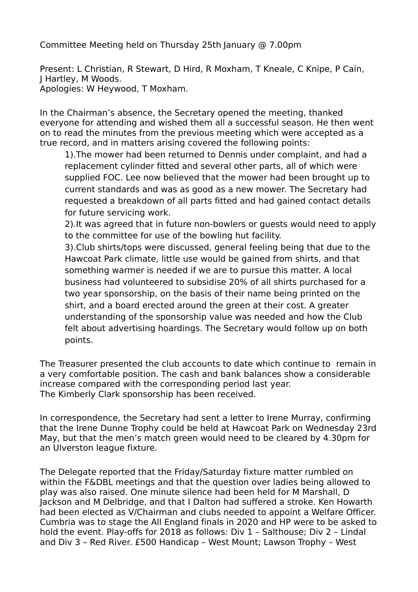Committee Meeting held on Thursday 25th January @ 7.00pm

Present: L Christian, R Stewart, D Hird, R Moxham, T Kneale, C Knipe, P Cain, J Hartley, M Woods. Apologies: W Heywood, T Moxham.

In the Chairman's absence, the Secretary opened the meeting, thanked everyone for attending and wished them all a successful season. He then went on to read the minutes from the previous meeting which were accepted as a true record, and in matters arising covered the following points:

1).The mower had been returned to Dennis under complaint, and had a replacement cylinder fitted and several other parts, all of which were supplied FOC. Lee now believed that the mower had been brought up to current standards and was as good as a new mower. The Secretary had requested a breakdown of all parts fitted and had gained contact details for future servicing work.

2).It was agreed that in future non-bowlers or guests would need to apply to the committee for use of the bowling hut facility.

3).Club shirts/tops were discussed, general feeling being that due to the Hawcoat Park climate, little use would be gained from shirts, and that something warmer is needed if we are to pursue this matter. A local business had volunteered to subsidise 20% of all shirts purchased for a two year sponsorship, on the basis of their name being printed on the shirt, and a board erected around the green at their cost. A greater understanding of the sponsorship value was needed and how the Club felt about advertising hoardings. The Secretary would follow up on both points.

The Treasurer presented the club accounts to date which continue to remain in a very comfortable position. The cash and bank balances show a considerable increase compared with the corresponding period last year. The Kimberly Clark sponsorship has been received.

In correspondence, the Secretary had sent a letter to Irene Murray, confirming that the Irene Dunne Trophy could be held at Hawcoat Park on Wednesday 23rd May, but that the men's match green would need to be cleared by 4.30pm for an Ulverston league fixture.

The Delegate reported that the Friday/Saturday fixture matter rumbled on within the F&DBL meetings and that the question over ladies being allowed to play was also raised. One minute silence had been held for M Marshall, D Jackson and M Delbridge, and that I Dalton had suffered a stroke. Ken Howarth had been elected as V/Chairman and clubs needed to appoint a Welfare Officer. Cumbria was to stage the All England finals in 2020 and HP were to be asked to hold the event. Play-offs for 2018 as follows: Div 1 – Salthouse; Div 2 – Lindal and Div 3 – Red River. £500 Handicap – West Mount; Lawson Trophy – West